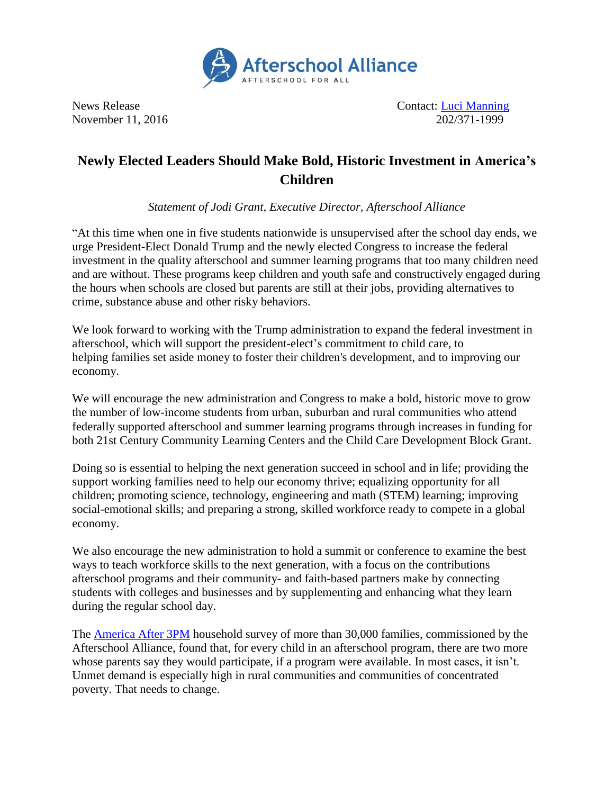

News Release Contact: [Luci Manning](mailto:luci@prsolutionsdc.com) November 11, 2016 202/371-1999

## **Newly Elected Leaders Should Make Bold, Historic Investment in America's Children**

*Statement of Jodi Grant, Executive Director, Afterschool Alliance*

"At this time when one in five students nationwide is unsupervised after the school day ends, we urge President-Elect Donald Trump and the newly elected Congress to increase the federal investment in the quality afterschool and summer learning programs that too many children need and are without. These programs keep children and youth safe and constructively engaged during the hours when schools are closed but parents are still at their jobs, providing alternatives to crime, substance abuse and other risky behaviors.

We look forward to working with the Trump administration to expand the federal investment in afterschool, which will support the president-elect's commitment to child care, to helping families set aside money to foster their children's development, and to improving our economy.

We will encourage the new administration and Congress to make a bold, historic move to grow the number of low-income students from urban, suburban and rural communities who attend federally supported afterschool and summer learning programs through increases in funding for both 21st Century Community Learning Centers and the Child Care Development Block Grant.

Doing so is essential to helping the next generation succeed in school and in life; providing the support working families need to help our economy thrive; equalizing opportunity for all children; promoting science, technology, engineering and math (STEM) learning; improving social-emotional skills; and preparing a strong, skilled workforce ready to compete in a global economy.

We also encourage the new administration to hold a summit or conference to examine the best ways to teach workforce skills to the next generation, with a focus on the contributions afterschool programs and their community- and faith-based partners make by connecting students with colleges and businesses and by supplementing and enhancing what they learn during the regular school day.

The [America After 3PM](http://www.afterschoolalliance.org/AA3PM/) household survey of more than 30,000 families, commissioned by the Afterschool Alliance, found that, for every child in an afterschool program, there are two more whose parents say they would participate, if a program were available. In most cases, it isn't. Unmet demand is especially high in rural communities and communities of concentrated poverty. That needs to change.